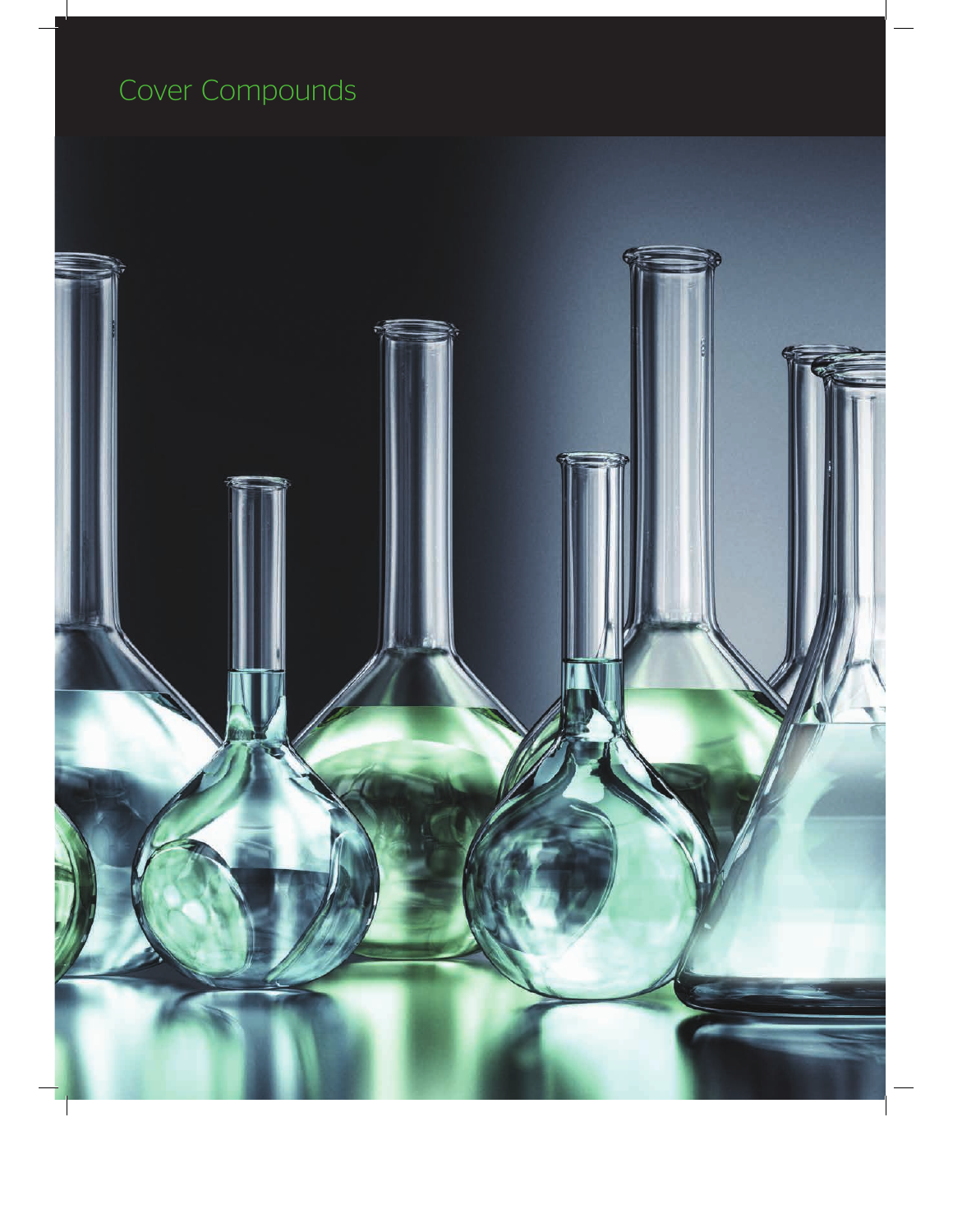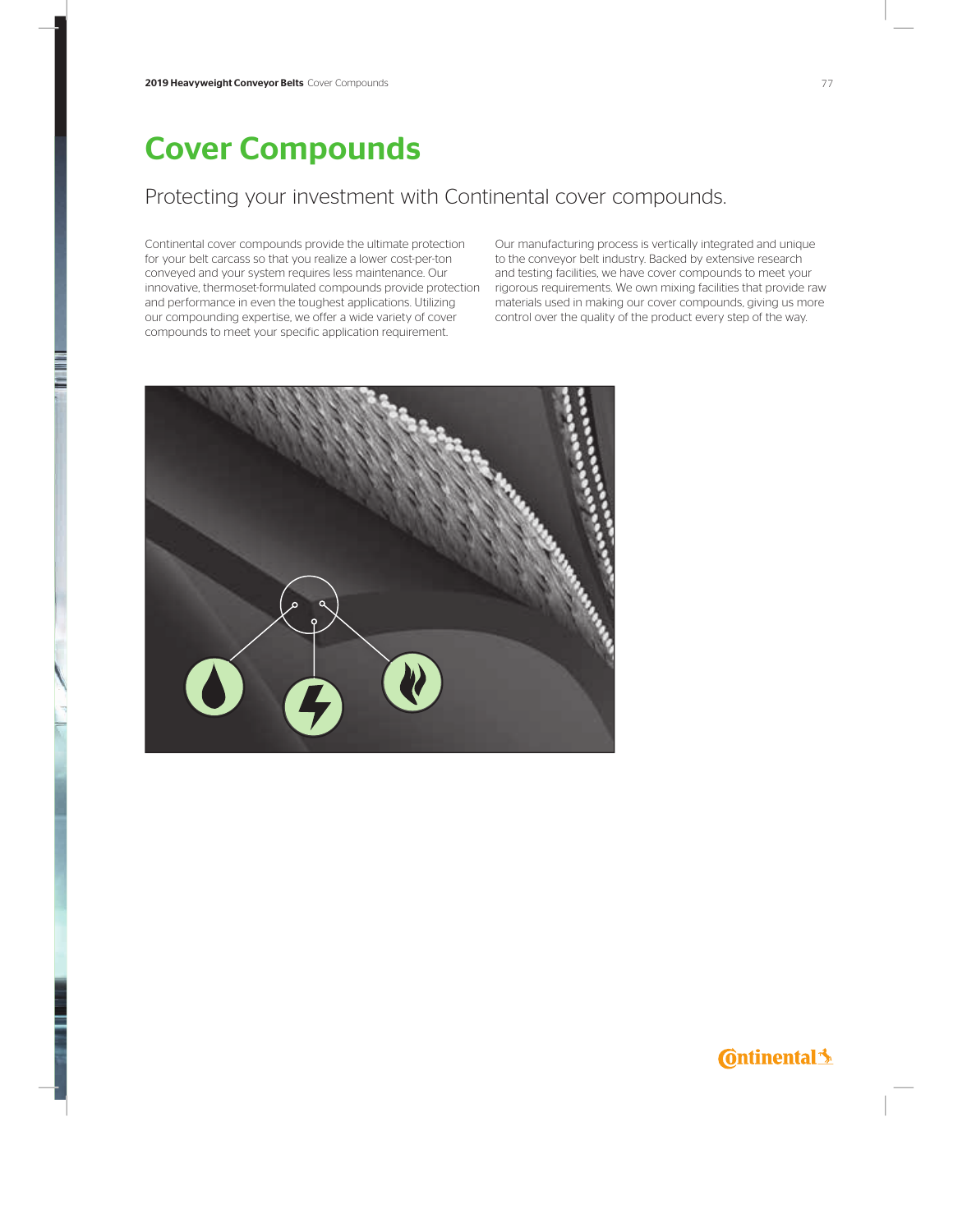#### Protecting your investment with Continental cover compounds.

Continental cover compounds provide the ultimate protection for your belt carcass so that you realize a lower cost-per-ton conveyed and your system requires less maintenance. Our innovative, thermoset-formulated compounds provide protection rigorous requirements. We own mixing facilities that provide raw and performance in even the toughest applications. Utilizing our compounding expertise, we offer a wide variety of cover compounds to meet your specific application requirement.

Our manufacturing process is vertically integrated and unique to the conveyor belt industry. Backed by extensive research and testing facilities, we have cover compounds to meet your materials used in making our cover compounds, giving us more control over the quality of the product every step of the way.



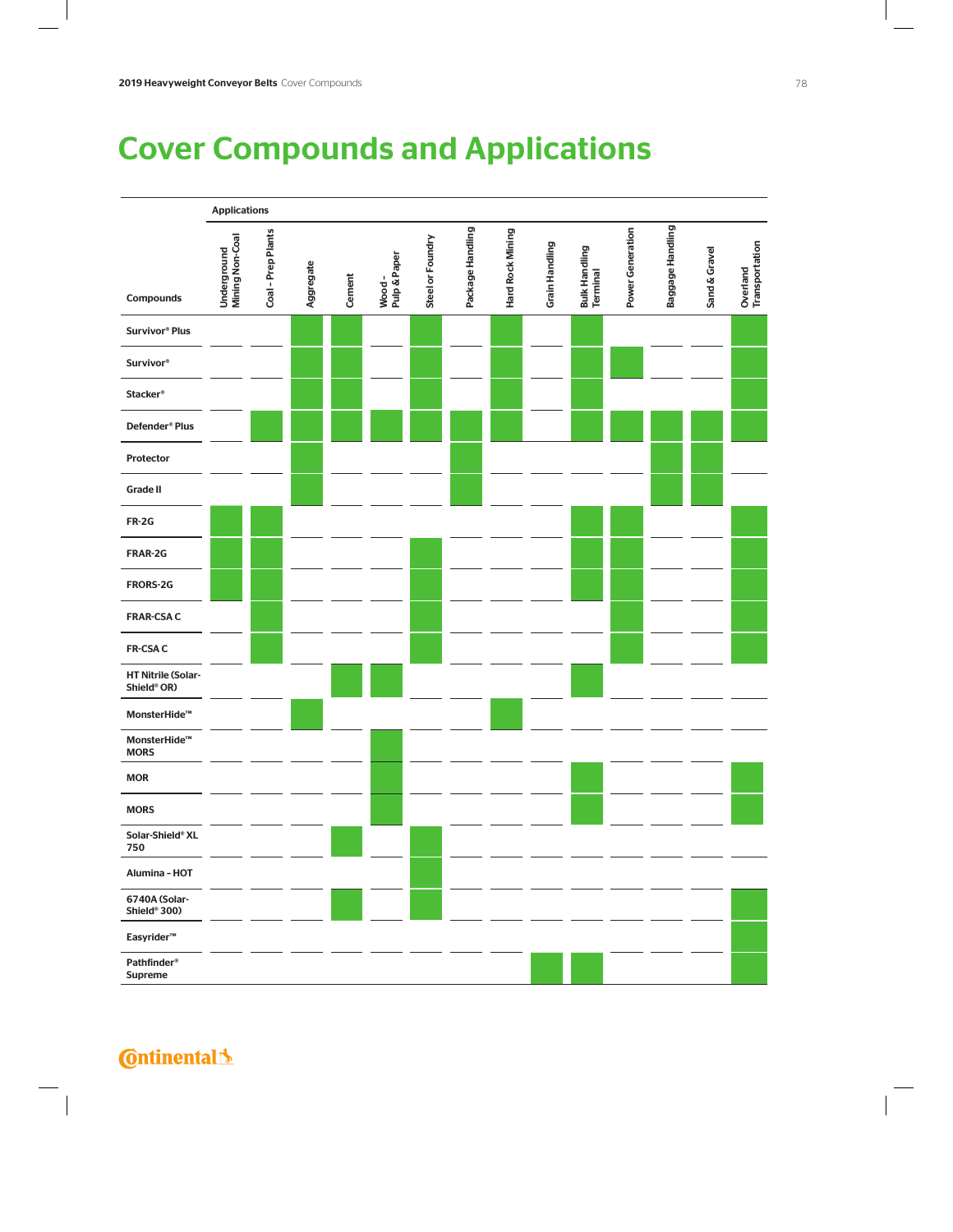## Cover Compounds and Applications



**C**ntinental<sup>1</sup>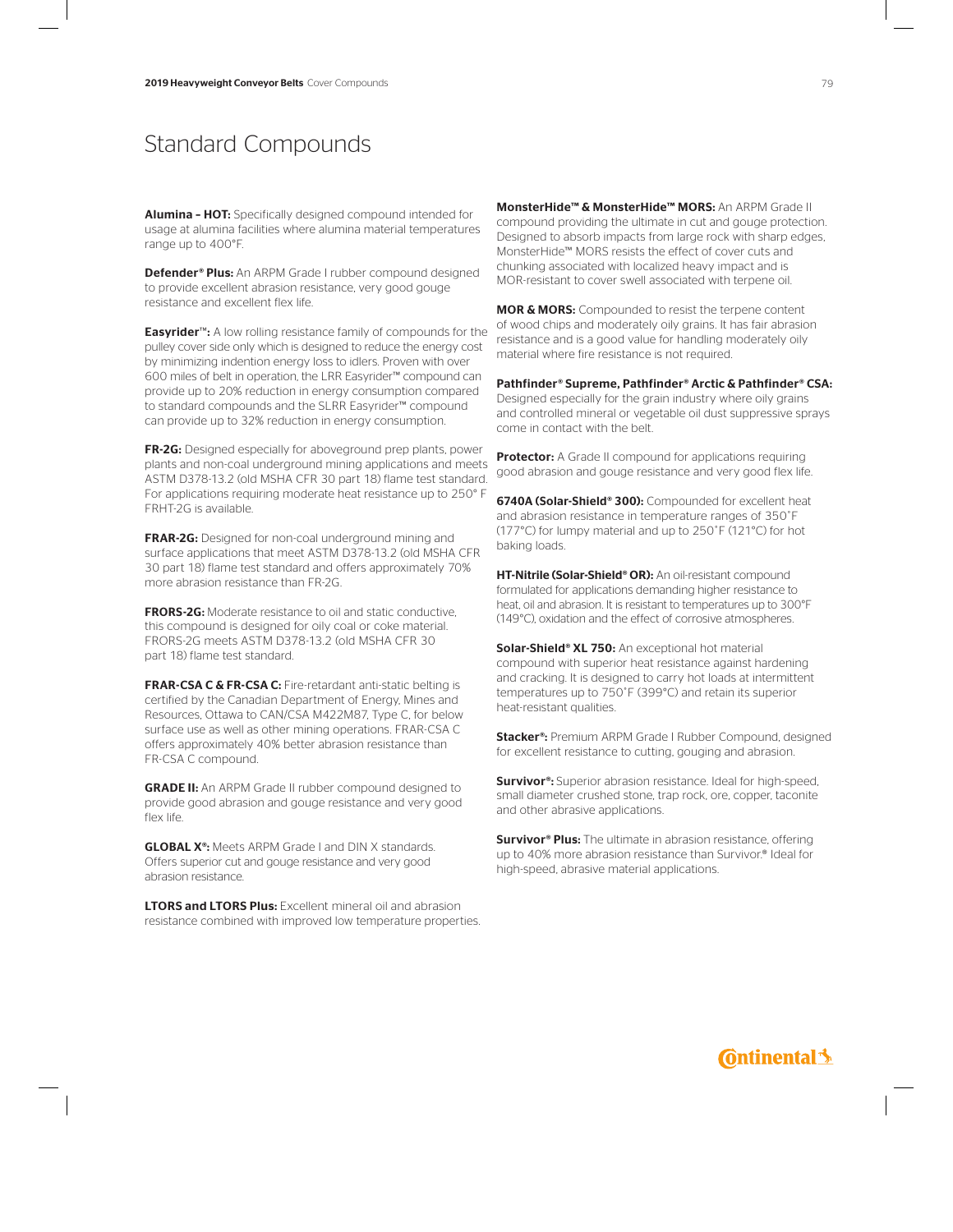### Standard Compounds

Alumina – HOT: Specifically designed compound intended for usage at alumina facilities where alumina material temperatures range up to 400°F.

Defender® Plus: An ARPM Grade I rubber compound designed to provide excellent abrasion resistance, very good gouge resistance and excellent flex life.

Easyrider™: A low rolling resistance family of compounds for the pulley cover side only which is designed to reduce the energy cost by minimizing indention energy loss to idlers. Proven with over 600 miles of belt in operation, the LRR Easyrider™ compound can provide up to 20% reduction in energy consumption compared to standard compounds and the SLRR Easyrider™ compound can provide up to 32% reduction in energy consumption.

FR-2G: Designed especially for aboveground prep plants, power plants and non-coal underground mining applications and meets ASTM D378-13.2 (old MSHA CFR 30 part 18) flame test standard. For applications requiring moderate heat resistance up to 250° F FRHT-2G is available.

FRAR-2G: Designed for non-coal underground mining and surface applications that meet ASTM D378-13.2 (old MSHA CFR 30 part 18) flame test standard and offers approximately 70% more abrasion resistance than FR-2G.

FRORS-2G: Moderate resistance to oil and static conductive, this compound is designed for oily coal or coke material. FRORS-2G meets ASTM D378-13.2 (old MSHA CFR 30 part 18) flame test standard.

FRAR-CSA C & FR-CSA C: Fire-retardant anti-static belting is certified by the Canadian Department of Energy, Mines and Resources, Ottawa to CAN/CSA M422M87, Type C, for below surface use as well as other mining operations. FRAR-CSA C offers approximately 40% better abrasion resistance than FR-CSA C compound.

GRADE II: An ARPM Grade II rubber compound designed to provide good abrasion and gouge resistance and very good flex life.

**GLOBAL X<sup>®</sup>:** Meets ARPM Grade I and DIN X standards. Offers superior cut and gouge resistance and very good abrasion resistance.

LTORS and LTORS Plus: Excellent mineral oil and abrasion resistance combined with improved low temperature properties. MonsterHide™ & MonsterHide™ MORS: An ARPM Grade II compound providing the ultimate in cut and gouge protection. Designed to absorb impacts from large rock with sharp edges, MonsterHide™ MORS resists the effect of cover cuts and chunking associated with localized heavy impact and is MOR-resistant to cover swell associated with terpene oil.

MOR & MORS: Compounded to resist the terpene content of wood chips and moderately oily grains. It has fair abrasion resistance and is a good value for handling moderately oily material where fire resistance is not required.

Pathfinder® Supreme, Pathfinder® Arctic & Pathfinder® CSA: Designed especially for the grain industry where oily grains and controlled mineral or vegetable oil dust suppressive sprays come in contact with the belt.

Protector: A Grade II compound for applications requiring good abrasion and gouge resistance and very good flex life.

6740A (Solar-Shield® 300): Compounded for excellent heat and abrasion resistance in temperature ranges of 350˚F (177°C) for lumpy material and up to 250˚F (121°C) for hot baking loads.

HT-Nitrile (Solar-Shield® OR): An oil-resistant compound formulated for applications demanding higher resistance to heat, oil and abrasion. It is resistant to temperatures up to 300°F (149°C), oxidation and the effect of corrosive atmospheres.

Solar-Shield® XL 750: An exceptional hot material compound with superior heat resistance against hardening and cracking. It is designed to carry hot loads at intermittent temperatures up to 750˚F (399°C) and retain its superior heat-resistant qualities.

Stacker<sup>®</sup>: Premium ARPM Grade I Rubber Compound, designed for excellent resistance to cutting, gouging and abrasion.

**Survivor®:** Superior abrasion resistance. Ideal for high-speed. small diameter crushed stone, trap rock, ore, copper, taconite and other abrasive applications.

**Survivor® Plus:** The ultimate in abrasion resistance, offering up to 40% more abrasion resistance than Survivor.® Ideal for high-speed, abrasive material applications.

### **Continental**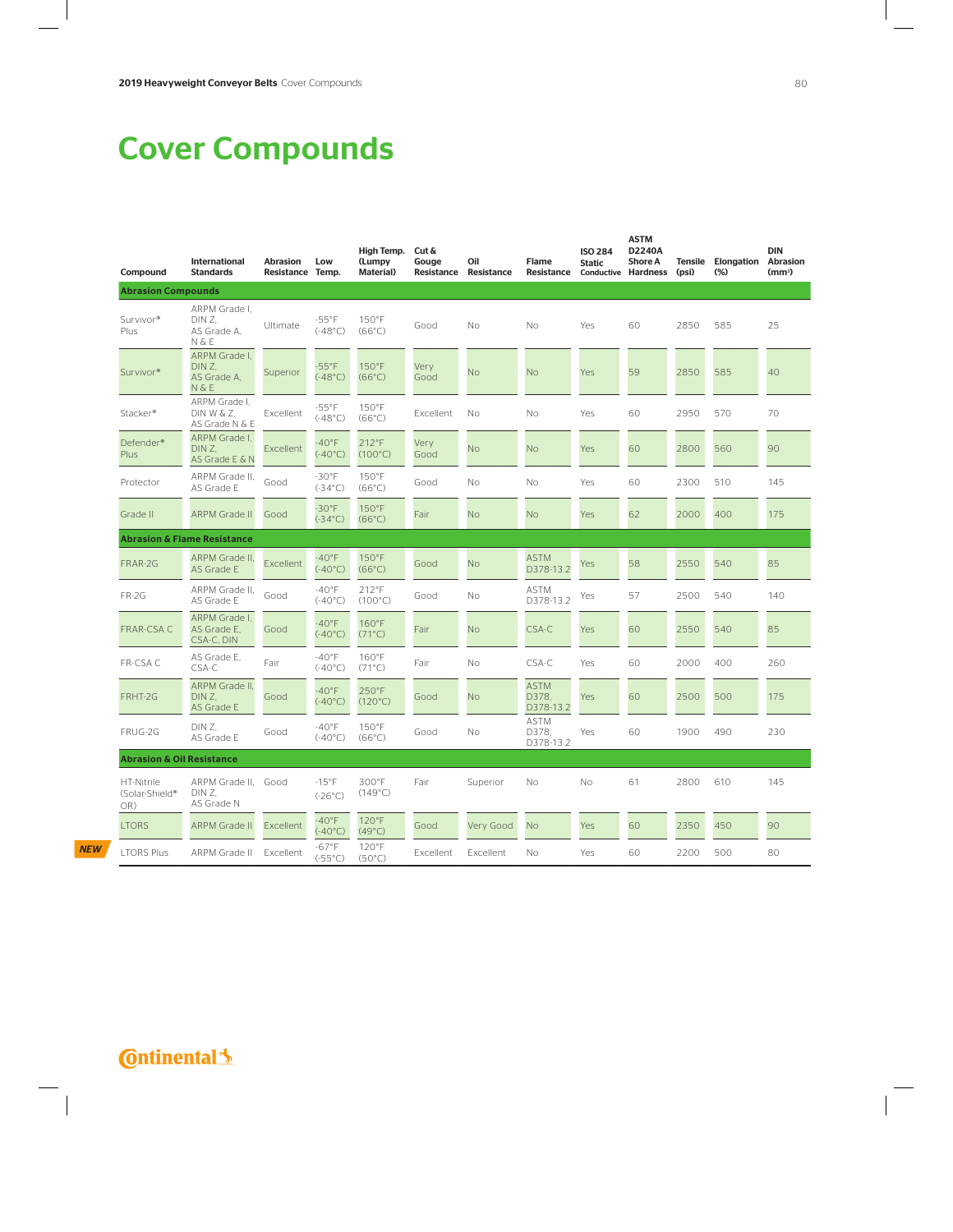| Compound                             | International<br><b>Standards</b>               | Abrasion<br>Resistance Temp. | Low                           | High Temp.<br>(Lumpy<br><b>Material</b> ) | Cut &<br>Gouge<br>Resistance | Oil<br>Resistance | Flame<br>Resistance               | <b>ISO 284</b><br><b>Static</b> | <b>ASTM</b><br>D2240A<br><b>Shore A</b><br><b>Conductive Hardness</b> | <b>Tensile</b><br>(psi) | Elongation<br>$(\%)$ | DIN<br>Abrasion<br>(mm <sup>3</sup> ) |
|--------------------------------------|-------------------------------------------------|------------------------------|-------------------------------|-------------------------------------------|------------------------------|-------------------|-----------------------------------|---------------------------------|-----------------------------------------------------------------------|-------------------------|----------------------|---------------------------------------|
| <b>Abrasion Compounds</b>            |                                                 |                              |                               |                                           |                              |                   |                                   |                                 |                                                                       |                         |                      |                                       |
| Survivor <sup>®</sup><br>Plus        | ARPM Grade I.<br>DIN Z.<br>AS Grade A.<br>N & E | Ultimate                     | $-55^{\circ}$ F<br>(.48°C)    | 150°F<br>$(66^{\circ}C)$                  | Good                         | Νo                | No                                | Yes                             | 60                                                                    | 2850                    | 585                  | 25                                    |
| Survivor <sup>®</sup>                | ARPM Grade I.<br>DIN Z.<br>AS Grade A.<br>N & E | Superior                     | $-55^{\circ}$ F<br>(.48°C)    | 150°F<br>$(66^{\circ}C)$                  | Very<br>Good                 | <b>No</b>         | No                                | Yes                             | 59                                                                    | 2850                    | 585                  | 40                                    |
| Stacker®                             | ARPM Grade I.<br>DIN W & Z.<br>AS Grade N & E   | Excellent                    | $-55^{\circ}$ F<br>(.48°C)    | 150°F<br>$(66^{\circ}C)$                  | Excellent                    | No                | No                                | Yes                             | 60                                                                    | 2950                    | 570                  | 70                                    |
| Defender <sup>®</sup><br>Plus        | ARPM Grade I,<br>DIN Z.<br>AS Grade E & N       | Excellent                    | $-40^{\circ}$ F<br>(.40°C)    | 212°F<br>$(100^{\circ}C)$                 | Very<br>Good                 | <b>No</b>         | <b>No</b>                         | Yes                             | 60                                                                    | 2800                    | 560                  | 90                                    |
| Protector                            | ARPM Grade II.<br>AS Grade E                    | Good                         | $-30^{\circ}$ F<br>(.34°C)    | 150°F<br>$(66^{\circ}C)$                  | Good                         | No                | Νo                                | Yes                             | 60                                                                    | 2300                    | 510                  | 145                                   |
| Grade II                             | ARPM Grade II                                   | Good                         | $-30^{\circ}$ F<br>(.34°C)    | 150°F<br>$(66^{\circ}C)$                  | Fair                         | <b>No</b>         | <b>No</b>                         | Yes                             | 62                                                                    | 2000                    | 400                  | 175                                   |
|                                      | <b>Abrasion &amp; Flame Resistance</b>          |                              |                               |                                           |                              |                   |                                   |                                 |                                                                       |                         |                      |                                       |
| FRAR-2G                              | ARPM Grade II.<br>AS Grade E                    | Excellent                    | $-40^{\circ}$ F<br>(.40°C)    | 150°F<br>$(66^{\circ}C)$                  | Good                         | <b>No</b>         | <b>ASTM</b><br>D378-13.2          | Yes                             | 58                                                                    | 2550                    | 540                  | 85                                    |
| <b>FR-2G</b>                         | ARPM Grade II.<br>AS Grade E                    | Good                         | $-40^{\circ}$ F<br>(.40°C)    | 212°F<br>$(100^{\circ}C)$                 | Good                         | No                | ASTM<br>D378-13.2                 | Yes                             | 57                                                                    | 2500                    | 540                  | 140                                   |
| FRAR-CSA C                           | ARPM Grade I.<br>AS Grade E.<br>CSA-C, DIN      | Good                         | $-40^{\circ}$ F<br>(.40°C)    | 160°F<br>$(71^{\circ}C)$                  | Fair                         | <b>No</b>         | CSA-C                             | Yes                             | 60                                                                    | 2550                    | 540                  | 85                                    |
| FR-CSA C                             | AS Grade E.<br>CSA-C                            | Fair                         | $-40^{\circ}$ F<br>(.40°C)    | 160°F<br>$(71^{\circ}C)$                  | Fair                         | No                | CSA-C                             | Yes                             | 60                                                                    | 2000                    | 400                  | 260                                   |
| FRHT-2G                              | ARPM Grade II.<br>DIN Z.<br>AS Grade E          | Good                         | $-40^{\circ}$ F<br>(.40°C)    | 250°F<br>$(120^{\circ}C)$                 | Good                         | <b>No</b>         | <b>ASTM</b><br>D378.<br>D378-13.2 | Yes                             | 60                                                                    | 2500                    | 500                  | 175                                   |
| FRUG-2G                              | DIN Z.<br>AS Grade E                            | Good                         | $-40^{\circ}$ F<br>(.40°C)    | 150°F<br>$(66^{\circ}C)$                  | Good                         | No                | <b>ASTM</b><br>D378.<br>D378-13.2 | Yes                             | 60                                                                    | 1900                    | 490                  | 230                                   |
| <b>Abrasion &amp; Oil Resistance</b> |                                                 |                              |                               |                                           |                              |                   |                                   |                                 |                                                                       |                         |                      |                                       |
| HT-Nitrile<br>(Solar-Shield®<br>OR)  | ARPM Grade II. Good<br>DIN Z.<br>AS Grade N     |                              | $-15^{\circ}$ F<br>(.26°C)    | 300°F<br>$(149^{\circ}C)$                 | Fair                         | Superior          | No                                | Νo                              | 61                                                                    | 2800                    | 610                  | 145                                   |
| <b>LTORS</b>                         | ARPM Grade II                                   | Excellent                    | $-40^{\circ}$ F<br>(.40°C)    | 120°F<br>$(49^{\circ}C)$                  | Good                         | Very Good         | No.                               | Yes                             | 60                                                                    | 2350                    | 450                  | 90                                    |
| <b>LTORS Plus</b>                    | ARPM Grade II                                   | Excellent                    | $-67$ °F<br>$(.55^{\circ}$ C) | 120°F<br>$(50^{\circ}C)$                  | Excellent                    | Excellent         | No                                | Yes                             | 60                                                                    | 2200                    | 500                  | 80                                    |

### **C**ntinental<sup>1</sup>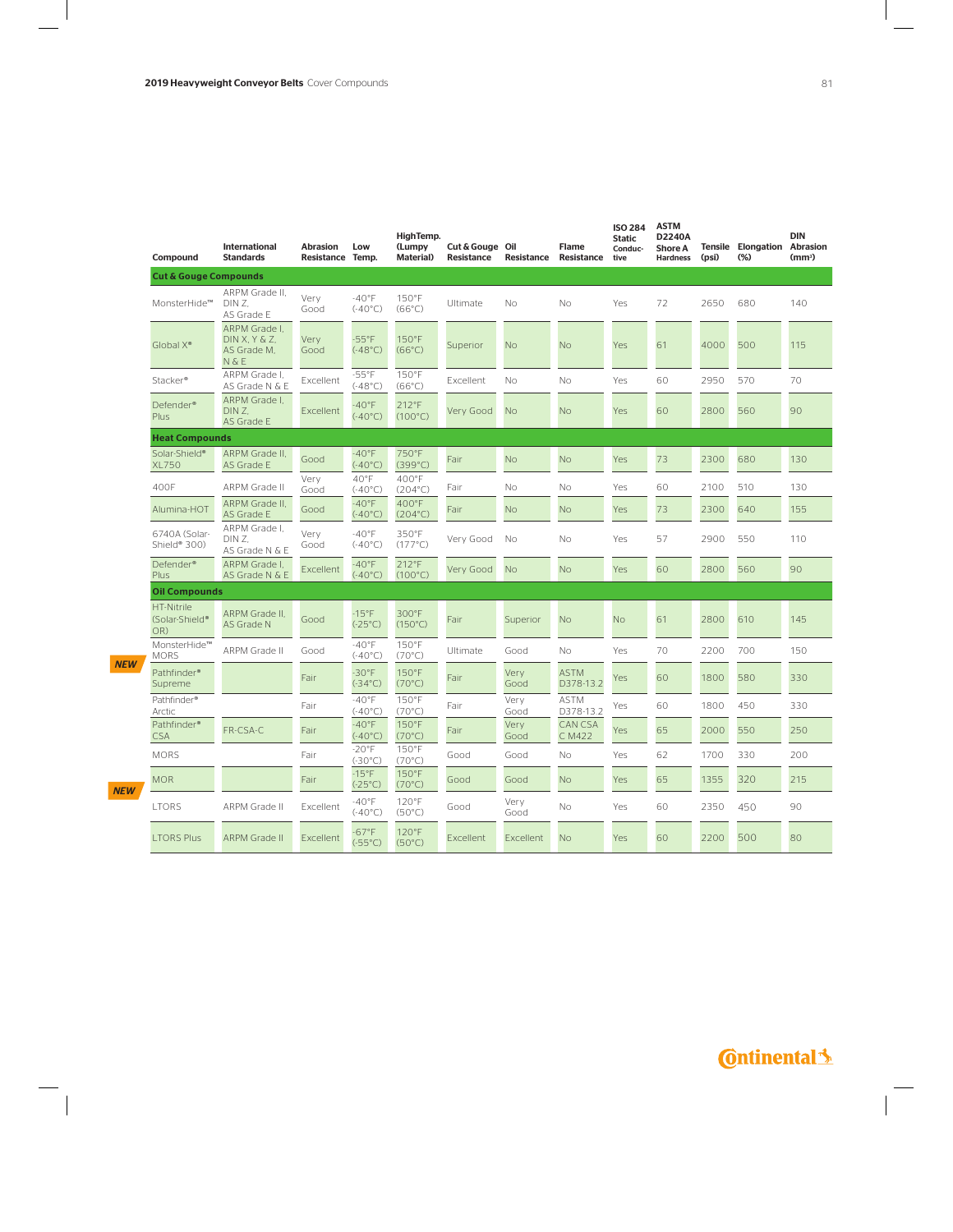| Compound                            | <b>International</b><br><b>Standards</b>              | <b>Abrasion</b><br>Resistance Temp. | Low                          | HighTemp.<br>(Lumpy<br><b>Material</b> ) | Cut & Gouge Oil<br><b>Resistance</b> | Resistance   | <b>Flame</b><br>Resistance | <b>ISO 284</b><br><b>Static</b><br>Conduc-<br>tive | ASTM<br>D2240A<br><b>Shore A</b><br><b>Hardness</b> | (psi) | <b>Tensile Elongation</b><br>$(\%)$ | <b>DIN</b><br><b>Abrasion</b><br>(mm <sup>3</sup> ) |
|-------------------------------------|-------------------------------------------------------|-------------------------------------|------------------------------|------------------------------------------|--------------------------------------|--------------|----------------------------|----------------------------------------------------|-----------------------------------------------------|-------|-------------------------------------|-----------------------------------------------------|
| <b>Cut &amp; Gouge Compounds</b>    |                                                       |                                     |                              |                                          |                                      |              |                            |                                                    |                                                     |       |                                     |                                                     |
| MonsterHide™                        | ARPM Grade II.<br>DIN Z.<br>AS Grade E                | Very<br>Good                        | $-40°$ F<br>(.40°C)          | 150°F<br>$(66^{\circ}C)$                 | Ultimate                             | Nο           | No                         | Yes                                                | 72                                                  | 2650  | 680                                 | 140                                                 |
| Global X <sup>®</sup>               | ARPM Grade I.<br>DIN X, Y & Z<br>AS Grade M.<br>N & E | Very<br>Good                        | $-55^{\circ}$ F<br>(.48°C)   | 150°F<br>$(66^{\circ}C)$                 | Superior                             | No           | No                         | Yes                                                | 61                                                  | 4000  | 500                                 | 115                                                 |
| Stacker <sup>®</sup>                | ARPM Grade I.<br>AS Grade N & E                       | Excellent                           | $-55^{\circ}$ F<br>(.48°C)   | 150°F<br>$(66^{\circ}C)$                 | Excellent                            | No           | No                         | Yes                                                | 60                                                  | 2950  | 570                                 | 70                                                  |
| Defender <sup>®</sup><br>Plus       | ARPM Grade I.<br>DIN Z.<br>AS Grade E                 | Excellent                           | $-40^{\circ}$ F<br>(.40°C)   | 212°F<br>$(100^{\circ}C)$                | Very Good                            | <b>No</b>    | No                         | Yes                                                | 60                                                  | 2800  | 560                                 | 90                                                  |
|                                     | <b>Heat Compounds</b>                                 |                                     |                              |                                          |                                      |              |                            |                                                    |                                                     |       |                                     |                                                     |
| Solar-Shield®<br><b>XL750</b>       | ARPM Grade II,<br>AS Grade E                          | Good                                | $-40^{\circ}$ F<br>(.40°C)   | 750°F<br>$(399^{\circ}C)$                | Fair                                 | No           | No                         | Yes                                                | 73                                                  | 2300  | 680                                 | 130                                                 |
| 400F                                | ARPM Grade II                                         | Very<br>Good                        | $40^{\circ}$ F<br>(.40°C)    | 400°F<br>$(204^{\circ}C)$                | Fair                                 | Νo           | No                         | Yes                                                | 60                                                  | 2100  | 510                                 | 130                                                 |
| Alumina-HOT                         | ARPM Grade II.<br>AS Grade E                          | Good                                | $-40^{\circ}F$<br>(.40°C)    | 400°F<br>$(204^{\circ}C)$                | Fair                                 | <b>No</b>    | No                         | Yes                                                | 73                                                  | 2300  | 640                                 | 155                                                 |
| 6740A (Solar-<br>Shield® 300)       | ARPM Grade I.<br>DIN Z.<br>AS Grade N & E             | Very<br>Good                        | $-40°$ F<br>(.40°C)          | 350°F<br>$(177^{\circ}C)$                | Very Good                            | No           | No                         | Yes                                                | 57                                                  | 2900  | 550                                 | 110                                                 |
| Defender <sup>®</sup><br>Plus       | ARPM Grade I,<br>AS Grade N & E                       | Excellent                           | $-40^{\circ}$ F<br>(.40°C)   | 212°F<br>$(100^{\circ}C)$                | Very Good                            | <b>No</b>    | <b>No</b>                  | Yes                                                | 60                                                  | 2800  | 560                                 | 90                                                  |
| <b>Oil Compounds</b>                |                                                       |                                     |                              |                                          |                                      |              |                            |                                                    |                                                     |       |                                     |                                                     |
| HT-Nitrile<br>(Solar-Shield®<br>OR) | ARPM Grade II,<br>AS Grade N                          | Good                                | $-15^{\circ}$ F<br>(.25°C)   | 300°F<br>$(150^{\circ}C)$                | Fair                                 | Superior     | No                         | No                                                 | 61                                                  | 2800  | 610                                 | 145                                                 |
| MonsterHide™<br><b>MORS</b>         | ARPM Grade II                                         | Good                                | $-40^{\circ}F$<br>(.40°C)    | 150°F<br>$(70^{\circ}C)$                 | Ultimate                             | Good         | No                         | Yes                                                | 70                                                  | 2200  | 700                                 | 150                                                 |
| Pathfinder®<br>Supreme              |                                                       | Fair                                | $-30^{\circ}$ F<br>(.34°C)   | 150°F<br>$(70^{\circ}C)$                 | Fair                                 | Very<br>Good | <b>ASTM</b><br>D378-13.2   | Yes                                                | 60                                                  | 1800  | 580                                 | 330                                                 |
| Pathfinder®<br>Arctic               |                                                       | Fair                                | $-40^{\circ}F$<br>(.40°C)    | 150°F<br>$(70^{\circ}C)$                 | Fair                                 | Very<br>Good | <b>ASTM</b><br>D378-13.2   | Yes                                                | 60                                                  | 1800  | 450                                 | 330                                                 |
| Pathfinder®<br><b>CSA</b>           | FR-CSA-C                                              | Fair                                | $-40^{\circ}$ F<br>(.40°C)   | 150°F<br>$(70^{\circ}C)$                 | Fair                                 | Very<br>Good | <b>CAN CSA</b><br>C M422   | Yes                                                | 65                                                  | 2000  | 550                                 | 250                                                 |
| <b>MORS</b>                         |                                                       | Fair                                | $-20^{\circ}$ F<br>(.30°C)   | 150°F<br>$(70^{\circ}C)$                 | Good                                 | Good         | No                         | Yes                                                | 62                                                  | 1700  | 330                                 | 200                                                 |
| <b>MOR</b>                          |                                                       | Fair                                | $-15^{\circ}$ F<br>(.25°C)   | 150°F<br>$(70^{\circ}C)$                 | Good                                 | Good         | No                         | Yes                                                | 65                                                  | 1355  | 320                                 | 215                                                 |
| <b>LTORS</b>                        | ARPM Grade II                                         | Excellent                           | $-40^{\circ}$ F<br>(.40°C)   | 120°F<br>$(50^{\circ}C)$                 | Good                                 | Very<br>Good | No                         | Yes                                                | 60                                                  | 2350  | 450                                 | 90                                                  |
| <b>LTORS Plus</b>                   | <b>ARPM Grade II</b>                                  | Excellent                           | $-67$ °F<br>$(-55^{\circ}C)$ | 120°F<br>$(50^{\circ}C)$                 | Excellent                            | Excellent    | <b>No</b>                  | Yes                                                | 60                                                  | 2200  | 500                                 | 80                                                  |

*NEW*

### **C**ntinental<sup>1</sup>